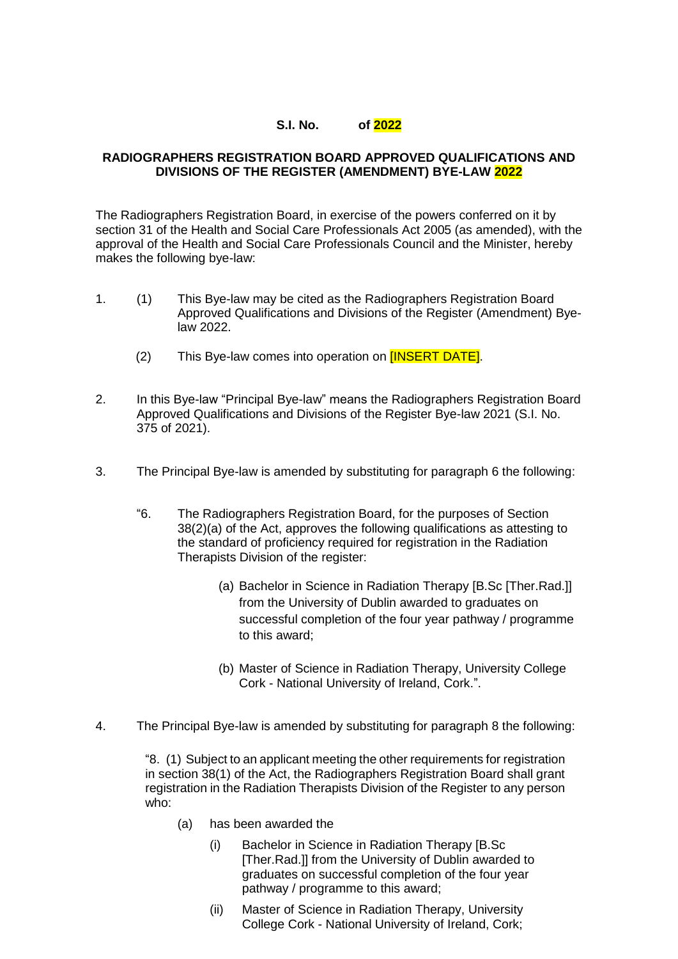## **S.I. No. of 2022**

## **RADIOGRAPHERS REGISTRATION BOARD APPROVED QUALIFICATIONS AND DIVISIONS OF THE REGISTER (AMENDMENT) BYE-LAW 2022**

The Radiographers Registration Board, in exercise of the powers conferred on it by section 31 of the Health and Social Care Professionals Act 2005 (as amended), with the approval of the Health and Social Care Professionals Council and the Minister, hereby makes the following bye-law:

- 1. (1) This Bye-law may be cited as the Radiographers Registration Board Approved Qualifications and Divisions of the Register (Amendment) Byelaw 2022.
	- (2) This Bye-law comes into operation on **[INSERT DATE]**.
- 2. In this Bye-law "Principal Bye-law" means the Radiographers Registration Board Approved Qualifications and Divisions of the Register Bye-law 2021 (S.I. No. 375 of 2021).
- 3. The Principal Bye-law is amended by substituting for paragraph 6 the following:
	- "6. The Radiographers Registration Board, for the purposes of Section 38(2)(a) of the Act, approves the following qualifications as attesting to the standard of proficiency required for registration in the Radiation Therapists Division of the register:
		- (a) Bachelor in Science in Radiation Therapy [B.Sc [Ther.Rad.]] from the University of Dublin awarded to graduates on successful completion of the four year pathway / programme to this award;
		- (b) Master of Science in Radiation Therapy, University College Cork - National University of Ireland, Cork.".
- 4. The Principal Bye-law is amended by substituting for paragraph 8 the following:

"8. (1) Subject to an applicant meeting the other requirements for registration in section 38(1) of the Act, the Radiographers Registration Board shall grant registration in the Radiation Therapists Division of the Register to any person who:

- (a) has been awarded the
	- (i) Bachelor in Science in Radiation Therapy [B.Sc [Ther.Rad.]] from the University of Dublin awarded to graduates on successful completion of the four year pathway / programme to this award;
	- (ii) Master of Science in Radiation Therapy, University College Cork - National University of Ireland, Cork;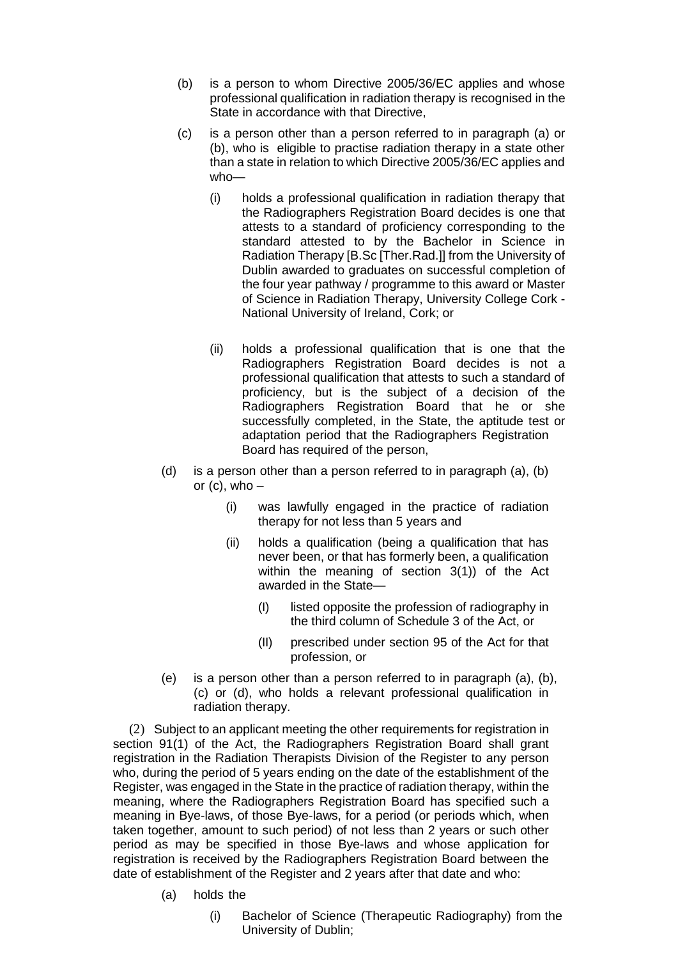- (b) is a person to whom Directive 2005/36/EC applies and whose professional qualification in radiation therapy is recognised in the State in accordance with that Directive,
- (c) is a person other than a person referred to in paragraph (a) or (b), who is eligible to practise radiation therapy in a state other than a state in relation to which Directive 2005/36/EC applies and who—
	- (i) holds a professional qualification in radiation therapy that the Radiographers Registration Board decides is one that attests to a standard of proficiency corresponding to the standard attested to by the Bachelor in Science in Radiation Therapy [B.Sc [Ther.Rad.]] from the University of Dublin awarded to graduates on successful completion of the four year pathway / programme to this award or Master of Science in Radiation Therapy, University College Cork - National University of Ireland, Cork; or
	- (ii) holds a professional qualification that is one that the Radiographers Registration Board decides is not a professional qualification that attests to such a standard of proficiency, but is the subject of a decision of the Radiographers Registration Board that he or she successfully completed, in the State, the aptitude test or adaptation period that the Radiographers Registration Board has required of the person,
- (d) is a person other than a person referred to in paragraph (a), (b) or  $(c)$ , who  $-$ 
	- (i) was lawfully engaged in the practice of radiation therapy for not less than 5 years and
	- (ii) holds a qualification (being a qualification that has never been, or that has formerly been, a qualification within the meaning of section 3(1)) of the Act awarded in the State—
		- (I) listed opposite the profession of radiography in the third column of Schedule 3 of the Act, or
		- (II) prescribed under section 95 of the Act for that profession, or
- (e) is a person other than a person referred to in paragraph (a), (b), (c) or (d), who holds a relevant professional qualification in radiation therapy.

(2) Subject to an applicant meeting the other requirements for registration in section 91(1) of the Act, the Radiographers Registration Board shall grant registration in the Radiation Therapists Division of the Register to any person who, during the period of 5 years ending on the date of the establishment of the Register, was engaged in the State in the practice of radiation therapy, within the meaning, where the Radiographers Registration Board has specified such a meaning in Bye-laws, of those Bye-laws, for a period (or periods which, when taken together, amount to such period) of not less than 2 years or such other period as may be specified in those Bye-laws and whose application for registration is received by the Radiographers Registration Board between the date of establishment of the Register and 2 years after that date and who:

- (a) holds the
	- (i) Bachelor of Science (Therapeutic Radiography) from the University of Dublin;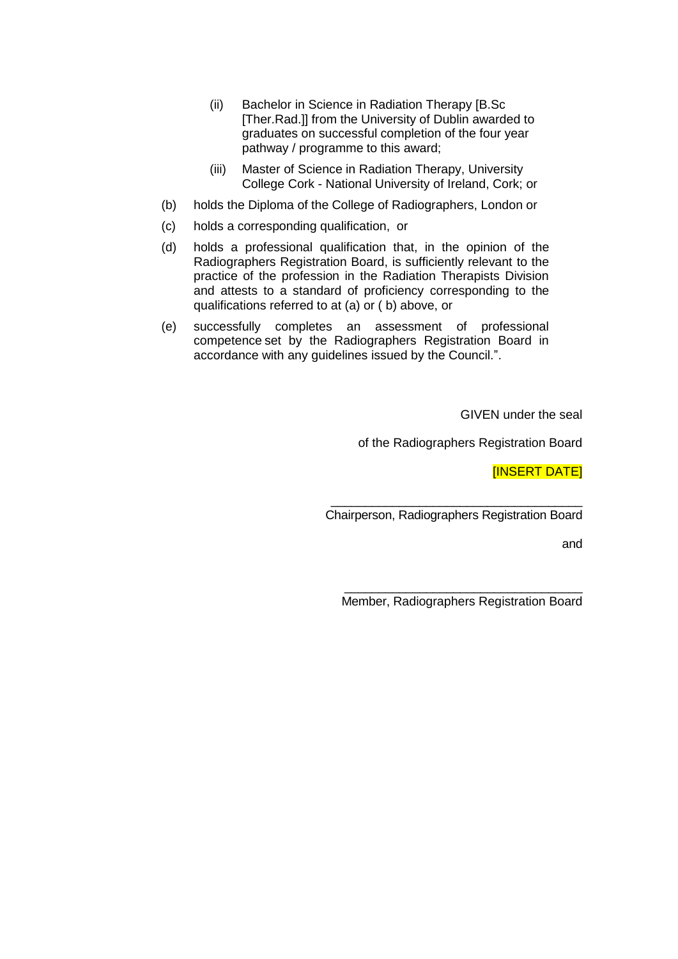- (ii) Bachelor in Science in Radiation Therapy [B.Sc [Ther.Rad.]] from the University of Dublin awarded to graduates on successful completion of the four year pathway / programme to this award;
- (iii) Master of Science in Radiation Therapy, University College Cork - National University of Ireland, Cork; or
- (b) holds the Diploma of the College of Radiographers, London or
- (c) holds a corresponding qualification, or
- (d) holds a professional qualification that, in the opinion of the Radiographers Registration Board, is sufficiently relevant to the practice of the profession in the Radiation Therapists Division and attests to a standard of proficiency corresponding to the qualifications referred to at (a) or ( b) above, or
- (e) successfully completes an assessment of professional competence set by the Radiographers Registration Board in accordance with any guidelines issued by the Council.".

GIVEN under the seal

of the Radiographers Registration Board

[INSERT DATE]

\_\_\_\_\_\_\_\_\_\_\_\_\_\_\_\_\_\_\_\_\_\_\_\_\_\_\_\_\_\_\_\_\_\_\_\_\_ Chairperson, Radiographers Registration Board

and

\_\_\_\_\_\_\_\_\_\_\_\_\_\_\_\_\_\_\_\_\_\_\_\_\_\_\_\_\_\_\_\_\_\_\_ Member, Radiographers Registration Board